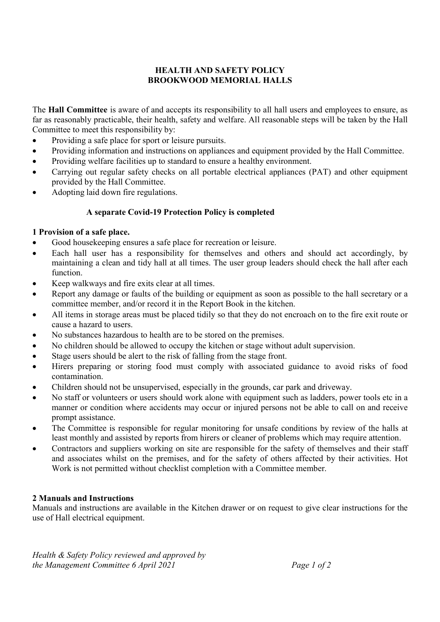## HEALTH AND SAFETY POLICY BROOKWOOD MEMORIAL HALLS

The Hall Committee is aware of and accepts its responsibility to all hall users and employees to ensure, as far as reasonably practicable, their health, safety and welfare. All reasonable steps will be taken by the Hall Committee to meet this responsibility by:

- Providing a safe place for sport or leisure pursuits.
- Providing information and instructions on appliances and equipment provided by the Hall Committee.
- Providing welfare facilities up to standard to ensure a healthy environment.
- Carrying out regular safety checks on all portable electrical appliances (PAT) and other equipment provided by the Hall Committee.
- Adopting laid down fire regulations.

### A separate Covid-19 Protection Policy is completed

### 1 Provision of a safe place.

- Good housekeeping ensures a safe place for recreation or leisure.
- Each hall user has a responsibility for themselves and others and should act accordingly, by maintaining a clean and tidy hall at all times. The user group leaders should check the hall after each function.
- Keep walkways and fire exits clear at all times.
- Report any damage or faults of the building or equipment as soon as possible to the hall secretary or a committee member, and/or record it in the Report Book in the kitchen.
- All items in storage areas must be placed tidily so that they do not encroach on to the fire exit route or cause a hazard to users.
- No substances hazardous to health are to be stored on the premises.
- No children should be allowed to occupy the kitchen or stage without adult supervision.
- Stage users should be alert to the risk of falling from the stage front.
- Hirers preparing or storing food must comply with associated guidance to avoid risks of food contamination.
- Children should not be unsupervised, especially in the grounds, car park and driveway.
- No staff or volunteers or users should work alone with equipment such as ladders, power tools etc in a manner or condition where accidents may occur or injured persons not be able to call on and receive prompt assistance.
- The Committee is responsible for regular monitoring for unsafe conditions by review of the halls at least monthly and assisted by reports from hirers or cleaner of problems which may require attention.
- Contractors and suppliers working on site are responsible for the safety of themselves and their staff and associates whilst on the premises, and for the safety of others affected by their activities. Hot Work is not permitted without checklist completion with a Committee member.

### 2 Manuals and Instructions

Manuals and instructions are available in the Kitchen drawer or on request to give clear instructions for the use of Hall electrical equipment.

Health & Safety Policy reviewed and approved by the Management Committee 6 April 2021 Page 1 of 2